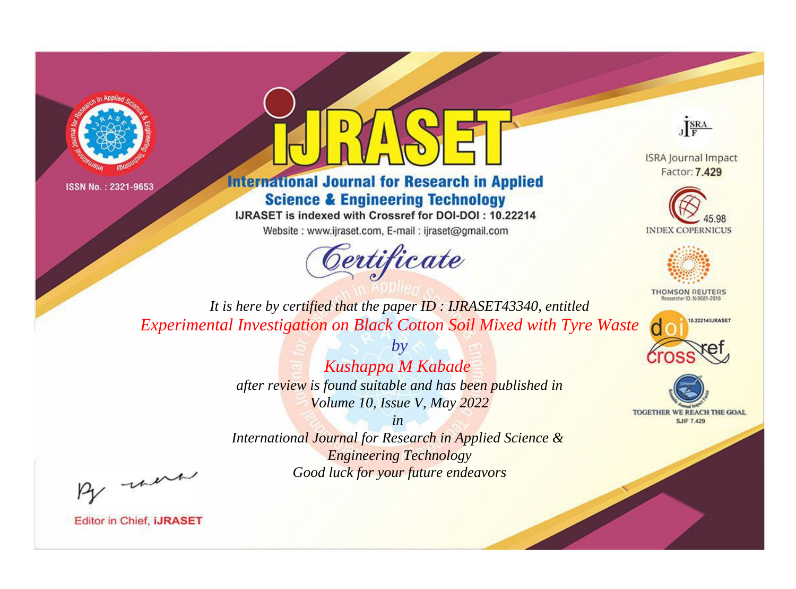



**International Journal for Research in Applied Science & Engineering Technology** 

IJRASET is indexed with Crossref for DOI-DOI: 10.22214

Website: www.ijraset.com, E-mail: ijraset@gmail.com



JERA

**ISRA Journal Impact** Factor: 7.429





**THOMSON REUTERS** 



TOGETHER WE REACH THE GOAL **SJIF 7.429** 

*It is here by certified that the paper ID : IJRASET43340, entitled Experimental Investigation on Black Cotton Soil Mixed with Tyre Waste*

> *Kushappa M Kabade after review is found suitable and has been published in Volume 10, Issue V, May 2022*

*by*

*in* 

*International Journal for Research in Applied Science & Engineering Technology Good luck for your future endeavors*

By morn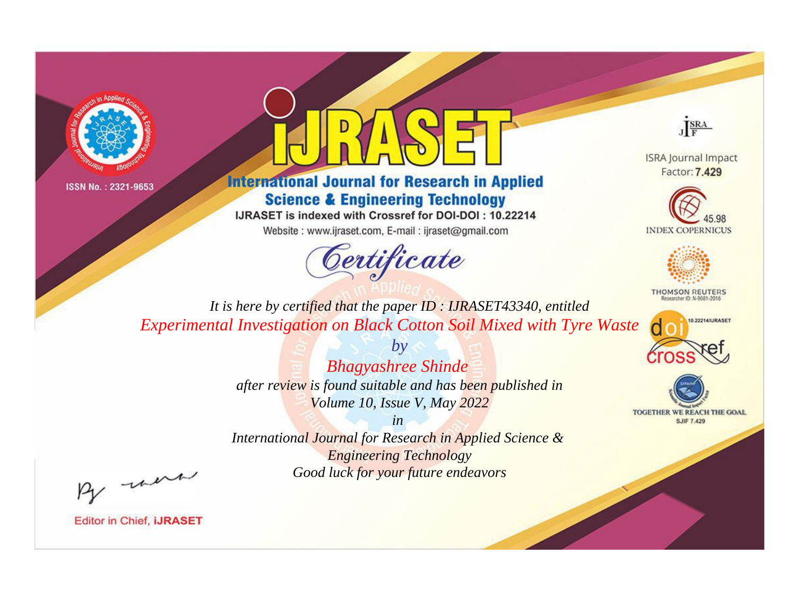



**International Journal for Research in Applied Science & Engineering Technology** 

IJRASET is indexed with Crossref for DOI-DOI: 10.22214

Website: www.ijraset.com, E-mail: ijraset@gmail.com



JERA

**ISRA Journal Impact** Factor: 7.429





**THOMSON REUTERS** 



TOGETHER WE REACH THE GOAL **SJIF 7.429** 

It is here by certified that the paper ID: IJRASET43340, entitled Experimental Investigation on Black Cotton Soil Mixed with Tyre Waste

> **Bhagyashree Shinde** after review is found suitable and has been published in Volume 10, Issue V, May 2022

 $b\nu$ 

 $in$ International Journal for Research in Applied Science & **Engineering Technology** Good luck for your future endeavors

By morn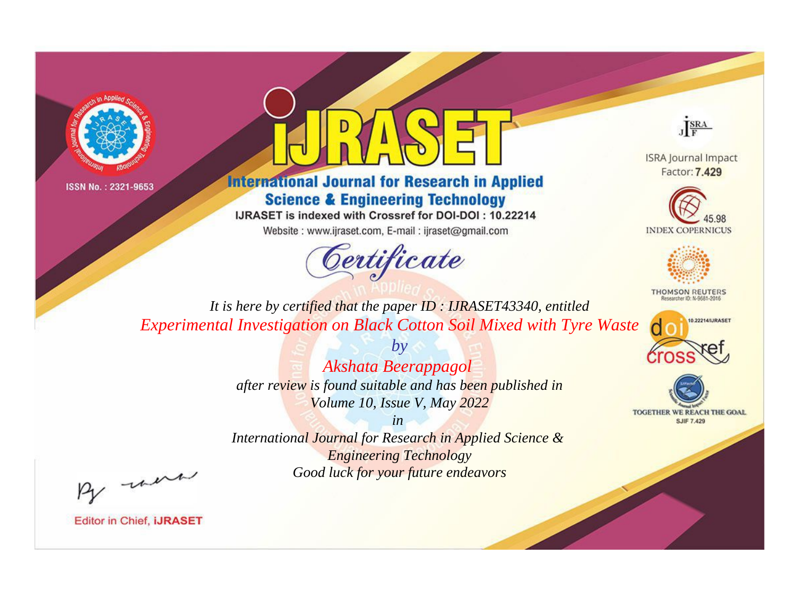



**International Journal for Research in Applied Science & Engineering Technology** 

IJRASET is indexed with Crossref for DOI-DOI: 10.22214

Website: www.ijraset.com, E-mail: ijraset@gmail.com



JERA

**ISRA Journal Impact** Factor: 7.429





**THOMSON REUTERS** 



TOGETHER WE REACH THE GOAL **SJIF 7.429** 

*It is here by certified that the paper ID : IJRASET43340, entitled Experimental Investigation on Black Cotton Soil Mixed with Tyre Waste*

> *by Akshata Beerappagol after review is found suitable and has been published in Volume 10, Issue V, May 2022*

> > *in*

*International Journal for Research in Applied Science & Engineering Technology Good luck for your future endeavors*

By morn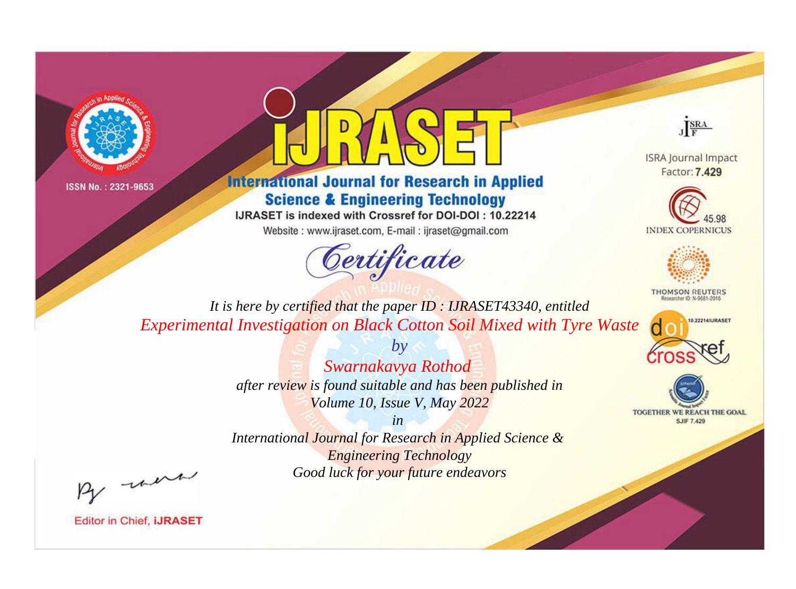



**International Journal for Research in Applied Science & Engineering Technology** 

IJRASET is indexed with Crossref for DOI-DOI: 10.22214

Website: www.ijraset.com, E-mail: ijraset@gmail.com



JERA

**ISRA Journal Impact** Factor: 7.429





**THOMSON REUTERS** 



TOGETHER WE REACH THE GOAL **SJIF 7.429** 

*It is here by certified that the paper ID : IJRASET43340, entitled Experimental Investigation on Black Cotton Soil Mixed with Tyre Waste*

> *Swarnakavya Rothod after review is found suitable and has been published in Volume 10, Issue V, May 2022*

*by*

*in* 

*International Journal for Research in Applied Science & Engineering Technology Good luck for your future endeavors*

By morn